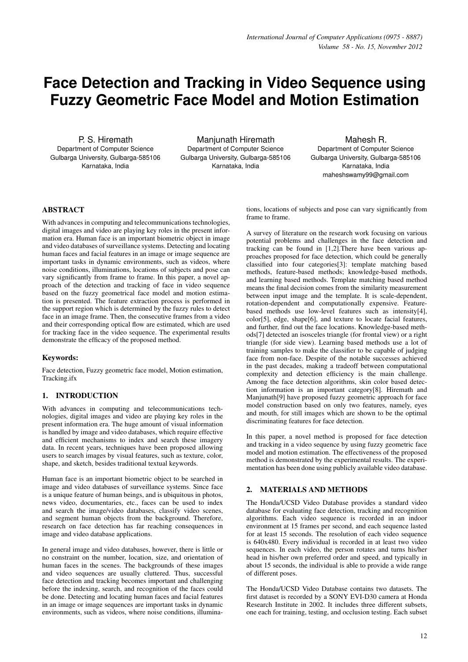# **Face Detection and Tracking in Video Sequence using Fuzzy Geometric Face Model and Motion Estimation**

P. S. Hiremath Department of Computer Science Gulbarga University, Gulbarga-585106 Karnataka, India

Manjunath Hiremath Department of Computer Science Gulbarga University, Gulbarga-585106 Karnataka, India

Mahesh R. Department of Computer Science Gulbarga University, Gulbarga-585106 Karnataka, India maheshswamy99@gmail.com

# ABSTRACT

With advances in computing and telecommunications technologies, digital images and video are playing key roles in the present information era. Human face is an important biometric object in image and video databases of surveillance systems. Detecting and locating human faces and facial features in an image or image sequence are important tasks in dynamic environments, such as videos, where noise conditions, illuminations, locations of subjects and pose can vary significantly from frame to frame. In this paper, a novel approach of the detection and tracking of face in video sequence based on the fuzzy geometrical face model and motion estimation is presented. The feature extraction process is performed in the support region which is determined by the fuzzy rules to detect face in an image frame. Then, the consecutive frames from a video and their corresponding optical flow are estimated, which are used for tracking face in the video sequence. The experimental results demonstrate the efficacy of the proposed method.

# Keywords:

Face detection, Fuzzy geometric face model, Motion estimation, Tracking.ifx

# 1. INTRODUCTION

With advances in computing and telecommunications technologies, digital images and video are playing key roles in the present information era. The huge amount of visual information is handled by image and video databases, which require effective and efficient mechanisms to index and search these imagery data. In recent years, techniques have been proposed allowing users to search images by visual features, such as texture, color, shape, and sketch, besides traditional textual keywords.

Human face is an important biometric object to be searched in image and video databases of surveillance systems. Since face is a unique feature of human beings, and is ubiquitous in photos, news video, documentaries, etc., faces can be used to index and search the image/video databases, classify video scenes, and segment human objects from the background. Therefore, research on face detection has far reaching consequences in image and video database applications.

In general image and video databases, however, there is little or no constraint on the number, location, size, and orientation of human faces in the scenes. The backgrounds of these images and video sequences are usually cluttered. Thus, successful face detection and tracking becomes important and challenging before the indexing, search, and recognition of the faces could be done. Detecting and locating human faces and facial features in an image or image sequences are important tasks in dynamic environments, such as videos, where noise conditions, illuminations, locations of subjects and pose can vary significantly from frame to frame.

A survey of literature on the research work focusing on various potential problems and challenges in the face detection and tracking can be found in [1,2].There have been various approaches proposed for face detection, which could be generally classified into four categories[3]: template matching based methods, feature-based methods; knowledge-based methods, and learning based methods. Template matching based method means the final decision comes from the similarity measurement between input image and the template. It is scale-dependent, rotation-dependent and computationally expensive. Featurebased methods use low-level features such as intensity[4], color[5], edge, shape[6], and texture to locate facial features, and further, find out the face locations. Knowledge-based methods[7] detected an isosceles triangle (for frontal view) or a right triangle (for side view). Learning based methods use a lot of training samples to make the classifier to be capable of judging face from non-face. Despite of the notable successes achieved in the past decades, making a tradeoff between computational complexity and detection efficiency is the main challenge. Among the face detection algorithms, skin color based detection information is an important category[8]. Hiremath and Manjunath[9] have proposed fuzzy geometric approach for face model construction based on only two features, namely, eyes and mouth, for still images which are shown to be the optimal discriminating features for face detection.

In this paper, a novel method is proposed for face detection and tracking in a video sequence by using fuzzy geometric face model and motion estimation. The effectiveness of the proposed method is demonstrated by the experimental results. The experimentation has been done using publicly available video database.

# 2. MATERIALS AND METHODS

The Honda/UCSD Video Database provides a standard video database for evaluating face detection, tracking and recognition algorithms. Each video sequence is recorded in an indoor environment at 15 frames per second, and each sequence lasted for at least 15 seconds. The resolution of each video sequence is 640x480. Every individual is recorded in at least two video sequences. In each video, the person rotates and turns his/her head in his/her own preferred order and speed, and typically in about 15 seconds, the individual is able to provide a wide range of different poses.

The Honda/UCSD Video Database contains two datasets. The first dataset is recorded by a SONY EVI-D30 camera at Honda Research Institute in 2002. It includes three different subsets, one each for training, testing, and occlusion testing. Each subset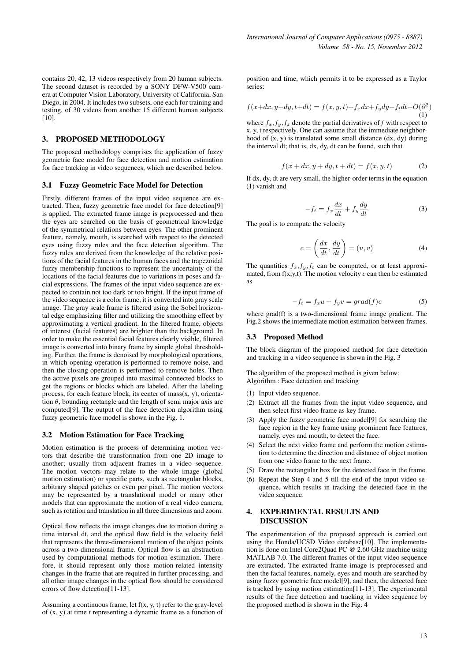contains 20, 42, 13 videos respectively from 20 human subjects. The second dataset is recorded by a SONY DFW-V500 camera at Computer Vision Laboratory, University of California, San Diego, in 2004. It includes two subsets, one each for training and testing, of 30 videos from another 15 different human subjects [10].

# 3. PROPOSED METHODOLOGY

The proposed methodology comprises the application of fuzzy geometric face model for face detection and motion estimation for face tracking in video sequences, which are described below.

#### 3.1 Fuzzy Geometric Face Model for Detection

Firstly, different frames of the input video sequence are extracted. Then, fuzzy geometric face model for face detection[9] is applied. The extracted frame image is preprocessed and then the eyes are searched on the basis of geometrical knowledge of the symmetrical relations between eyes. The other prominent feature, namely, mouth, is searched with respect to the detected eyes using fuzzy rules and the face detection algorithm. The fuzzy rules are derived from the knowledge of the relative positions of the facial features in the human faces and the trapezoidal fuzzy membership functions to represent the uncertainty of the locations of the facial features due to variations in poses and facial expressions. The frames of the input video sequence are expected to contain not too dark or too bright. If the input frame of the video sequence is a color frame, it is converted into gray scale image. The gray scale frame is filtered using the Sobel horizontal edge emphasizing filter and utilizing the smoothing effect by approximating a vertical gradient. In the filtered frame, objects of interest (facial features) are brighter than the background. In order to make the essential facial features clearly visible, filtered image is converted into binary frame by simple global thresholding. Further, the frame is denoised by morphological operations, in which opening operation is performed to remove noise, and then the closing operation is performed to remove holes. Then the active pixels are grouped into maximal connected blocks to get the regions or blocks which are labeled. After the labeling process, for each feature block, its center of  $mass(x, y)$ , orientation  $\theta$ , bounding rectangle and the length of semi major axis are computed[9]. The output of the face detection algorithm using fuzzy geometric face model is shown in the Fig. 1.

#### 3.2 Motion Estimation for Face Tracking

Motion estimation is the process of determining motion vectors that describe the transformation from one 2D image to another; usually from adjacent frames in a video sequence. The motion vectors may relate to the whole image (global motion estimation) or specific parts, such as rectangular blocks, arbitrary shaped patches or even per pixel. The motion vectors may be represented by a translational model or many other models that can approximate the motion of a real video camera, such as rotation and translation in all three dimensions and zoom.

Optical flow reflects the image changes due to motion during a time interval dt, and the optical flow field is the velocity field that represents the three-dimensional motion of the object points across a two-dimensional frame. Optical flow is an abstraction used by computational methods for motion estimation. Therefore, it should represent only those motion-related intensity changes in the frame that are required in further processing, and all other image changes in the optical flow should be considered errors of flow detection[11-13].

Assuming a continuous frame, let f(x, y, t) refer to the gray-level of (x, y) at time *t* representing a dynamic frame as a function of position and time, which permits it to be expressed as a Taylor series:

$$
f(x+dx, y+dy, t+dt) = f(x, y, t) + f_x dx + f_y dy + f_t dt + O(\partial^2)
$$
  
(1)

where  $f_x, f_y, f_z$  denote the partial derivatives of *f* with respect to x, y, t respectively. One can assume that the immediate neighborhood of (x, y) is translated some small distance (dx, dy) during the interval dt; that is, dx, dy, dt can be found, such that

$$
f(x+dx, y+dy, t+dt) = f(x, y, t)
$$
 (2)

If dx, dy, dt are very small, the higher-order terms in the equation (1) vanish and

$$
-f_t = f_x \frac{dx}{dt} + f_y \frac{dy}{dt}
$$
 (3)

The goal is to compute the velocity

$$
c = \left(\frac{dx}{dt}, \frac{dy}{dt}\right) = (u, v)
$$
\n(4)

The quantities  $f_x, f_y, f_t$  can be computed, or at least approximated, from  $f(x,y,t)$ . The motion velocity  $c$  can then be estimated as

$$
-f_t = f_x u + f_y v = grad(f)c \tag{5}
$$

where grad(f) is a two-dimensional frame image gradient. The Fig.2 shows the intermediate motion estimation between frames.

#### 3.3 Proposed Method

The block diagram of the proposed method for face detection and tracking in a video sequence is shown in the Fig. 3

The algorithm of the proposed method is given below: Algorithm : Face detection and tracking

- (1) Input video sequence.
- (2) Extract all the frames from the input video sequence, and then select first video frame as key frame.
- (3) Apply the fuzzy geometric face model[9] for searching the face region in the key frame using prominent face features, namely, eyes and mouth, to detect the face.
- (4) Select the next video frame and perform the motion estimation to determine the direction and distance of object motion from one video frame to the next frame.
- (5) Draw the rectangular box for the detected face in the frame.
- (6) Repeat the Step 4 and 5 till the end of the input video sequence, which results in tracking the detected face in the video sequence.

# 4. EXPERIMENTAL RESULTS AND DISCUSSION

The experimentation of the proposed approach is carried out using the Honda/UCSD Video database[10]. The implementation is done on Intel Core2Quad PC @ 2.60 GHz machine using MATLAB 7.0. The different frames of the input video sequence are extracted. The extracted frame image is preprocessed and then the facial features, namely, eyes and mouth are searched by using fuzzy geometric face model[9], and then, the detected face is tracked by using motion estimation[11-13]. The experimental results of the face detection and tracking in video sequence by the proposed method is shown in the Fig. 4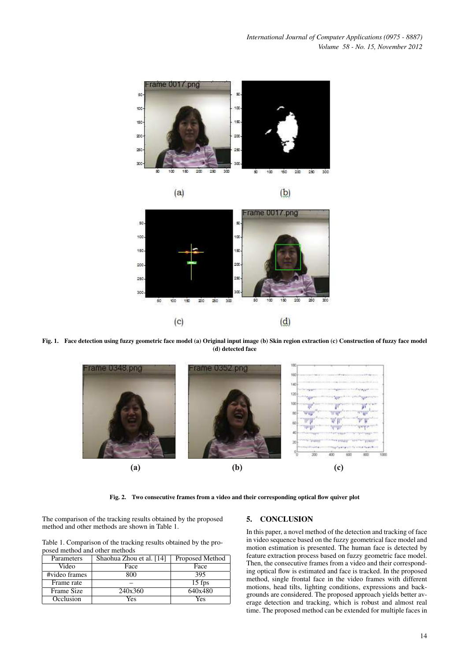*International Journal of Computer Applications (0975 - 8887) Volume 58 - No. 15, November 2012*









Fig. 1. Face detection using fuzzy geometric face model (a) Original input image (b) Skin region extraction (c) Construction of fuzzy face model (d) detected face



Fig. 2. Two consecutive frames from a video and their corresponding optical flow quiver plot

The comparison of the tracking results obtained by the proposed method and other methods are shown in Table 1.

Table 1. Comparison of the tracking results obtained by the proposed method and other methods

| Parameters    | Shaohua Zhou et al. [14] | Proposed Method |
|---------------|--------------------------|-----------------|
| Video         | Face                     | Face            |
| #video frames | 800                      | 395             |
| Frame rate    |                          | $15$ fps        |
| Frame Size    | 240x360                  | 640x480         |
| Occlusion     | Yes                      | Yes             |

### 5. CONCLUSION

In this paper, a novel method of the detection and tracking of face in video sequence based on the fuzzy geometrical face model and motion estimation is presented. The human face is detected by feature extraction process based on fuzzy geometric face model. Then, the consecutive frames from a video and their corresponding optical flow is estimated and face is tracked. In the proposed method, single frontal face in the video frames with different motions, head tilts, lighting conditions, expressions and backgrounds are considered. The proposed approach yields better average detection and tracking, which is robust and almost real time. The proposed method can be extended for multiple faces in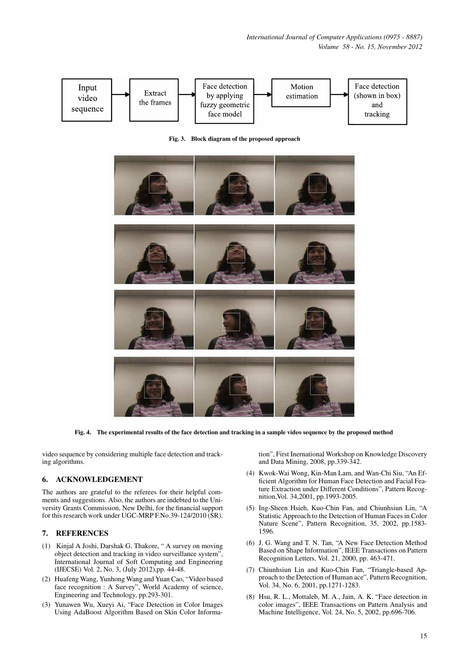*International Journal of Computer Applications (0975 - 8887) Volume 58 - No. 15, November 2012*



Fig. 3. Block diagram of the proposed approach



Fig. 4. The experimental results of the face detection and tracking in a sample video sequence by the proposed method

video sequence by considering multiple face detection and tracking algorithms.

# 6. ACKNOWLEDGEMENT

The authors are grateful to the referees for their helpful comments and suggestions. Also, the authors are indebted to the University Grants Commission, New Delhi, for the financial support for this research work under UGC-MRP F.No.39-124/2010 (SR).

## 7. REFERENCES

- (1) Kinjal A Joshi, Darshak G, Thakore, " A survey on moving object detection and tracking in video surveillance system", International Journal of Soft Computing and Engineering (IJECSE) Vol. 2, No. 3, (July 2012),pp. 44-48.
- (2) Huafeng Wang, Yunhong Wang and Yuan Cao, "Video based face recognition : A Survey", World Academy of science, Engineering and Technology, pp.293-301.
- (3) Yunawen Wu, Xueyi Ai, "Face Detection in Color Images Using AdaBoost Algorithm Based on Skin Color Informa-

tion", First Inernational Workshop on Knowledge Discovery and Data Mining, 2008, pp.339-342.

- (4) Kwok-Wai Wong, Kin-Man Lam, and Wan-Chi Siu, "An Efficient Algorithm for Human Face Detection and Facial Feature Extraction under Different Conditions", Pattern Recognition,Vol. 34,2001, pp.1993-2005.
- (5) Ing-Sheen Hsieh, Kuo-Chin Fan, and Chiunhsiun Lin, "A Statistic Approach to the Detection of Human Faces in Color Nature Scene", Pattern Recognition, 35, 2002, pp.1583- 1596.
- (6) J. G. Wang and T. N. Tan, "A New Face Detection Method Based on Shape Information", IEEE Transactions on Pattern Recognition Letters, Vol. 21, 2000, pp. 463-471.
- (7) Chiunhsiun Lin and Kuo-Chin Fan, "Triangle-based Approach to the Detection of Human ace", Pattern Recognition, Vol. 34, No. 6, 2001, pp.1271-1283.
- (8) Hsu, R. L., Mottaleb, M. A., Jain, A. K. "Face detection in color images", IEEE Transactions on Pattern Analysis and Machine Intelligence, Vol. 24, No. 5, 2002, pp.696-706.